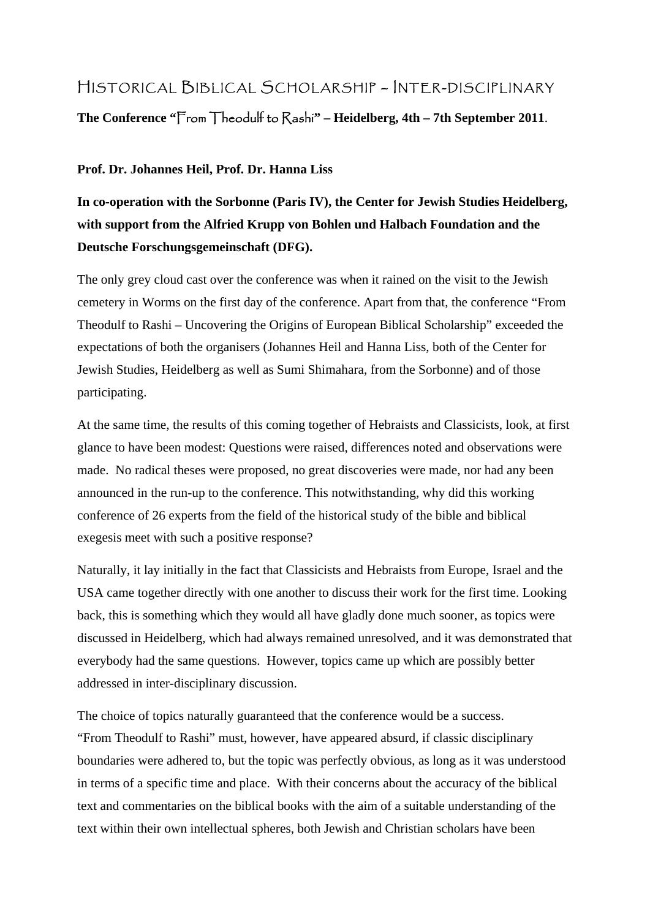## HISTORICAL BIBLICAL SCHOLARSHIP – INTER-DISCIPLINARY

**The Conference "**From Theodulf to Rashi**" – Heidelberg, 4th – 7th September 2011**.

## **Prof. Dr. Johannes Heil, Prof. Dr. Hanna Liss**

## **In co-operation with the Sorbonne (Paris IV), the Center for Jewish Studies Heidelberg, with support from the Alfried Krupp von Bohlen und Halbach Foundation and the Deutsche Forschungsgemeinschaft (DFG).**

The only grey cloud cast over the conference was when it rained on the visit to the Jewish cemetery in Worms on the first day of the conference. Apart from that, the conference "From Theodulf to Rashi – Uncovering the Origins of European Biblical Scholarship" exceeded the expectations of both the organisers (Johannes Heil and Hanna Liss, both of the Center for Jewish Studies, Heidelberg as well as Sumi Shimahara, from the Sorbonne) and of those participating.

At the same time, the results of this coming together of Hebraists and Classicists, look, at first glance to have been modest: Questions were raised, differences noted and observations were made. No radical theses were proposed, no great discoveries were made, nor had any been announced in the run-up to the conference. This notwithstanding, why did this working conference of 26 experts from the field of the historical study of the bible and biblical exegesis meet with such a positive response?

Naturally, it lay initially in the fact that Classicists and Hebraists from Europe, Israel and the USA came together directly with one another to discuss their work for the first time. Looking back, this is something which they would all have gladly done much sooner, as topics were discussed in Heidelberg, which had always remained unresolved, and it was demonstrated that everybody had the same questions. However, topics came up which are possibly better addressed in inter-disciplinary discussion.

The choice of topics naturally guaranteed that the conference would be a success. "From Theodulf to Rashi" must, however, have appeared absurd, if classic disciplinary boundaries were adhered to, but the topic was perfectly obvious, as long as it was understood in terms of a specific time and place. With their concerns about the accuracy of the biblical text and commentaries on the biblical books with the aim of a suitable understanding of the text within their own intellectual spheres, both Jewish and Christian scholars have been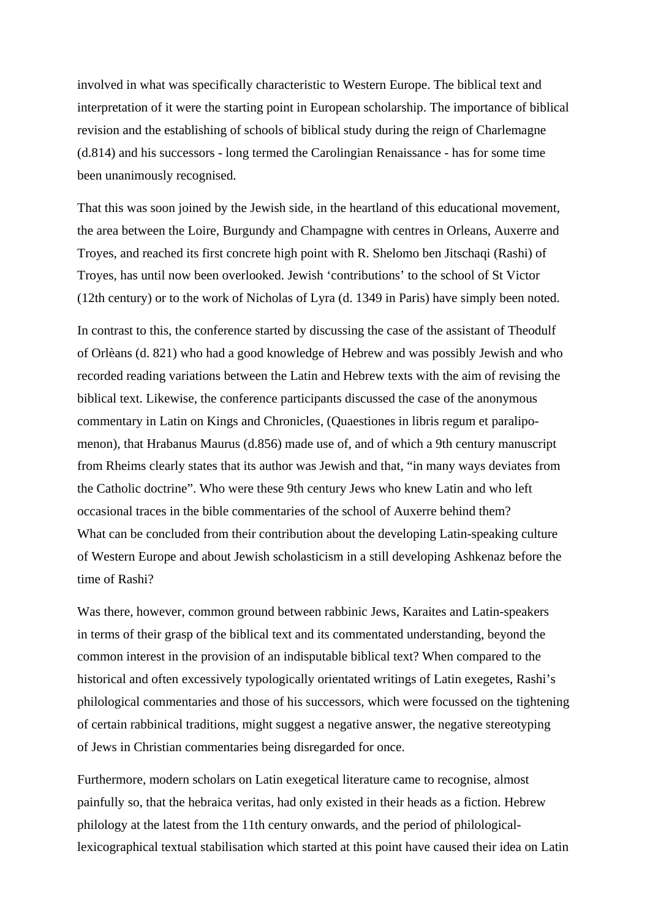involved in what was specifically characteristic to Western Europe. The biblical text and interpretation of it were the starting point in European scholarship. The importance of biblical revision and the establishing of schools of biblical study during the reign of Charlemagne (d.814) and his successors - long termed the Carolingian Renaissance - has for some time been unanimously recognised.

That this was soon joined by the Jewish side, in the heartland of this educational movement, the area between the Loire, Burgundy and Champagne with centres in Orleans, Auxerre and Troyes, and reached its first concrete high point with R. Shelomo ben Jitschaqi (Rashi) of Troyes, has until now been overlooked. Jewish 'contributions' to the school of St Victor (12th century) or to the work of Nicholas of Lyra (d. 1349 in Paris) have simply been noted.

In contrast to this, the conference started by discussing the case of the assistant of Theodulf of Orlèans (d. 821) who had a good knowledge of Hebrew and was possibly Jewish and who recorded reading variations between the Latin and Hebrew texts with the aim of revising the biblical text. Likewise, the conference participants discussed the case of the anonymous commentary in Latin on Kings and Chronicles, (Quaestiones in libris regum et paralipomenon), that Hrabanus Maurus (d.856) made use of, and of which a 9th century manuscript from Rheims clearly states that its author was Jewish and that, "in many ways deviates from the Catholic doctrine". Who were these 9th century Jews who knew Latin and who left occasional traces in the bible commentaries of the school of Auxerre behind them? What can be concluded from their contribution about the developing Latin-speaking culture of Western Europe and about Jewish scholasticism in a still developing Ashkenaz before the time of Rashi?

Was there, however, common ground between rabbinic Jews, Karaites and Latin-speakers in terms of their grasp of the biblical text and its commentated understanding, beyond the common interest in the provision of an indisputable biblical text? When compared to the historical and often excessively typologically orientated writings of Latin exegetes, Rashi's philological commentaries and those of his successors, which were focussed on the tightening of certain rabbinical traditions, might suggest a negative answer, the negative stereotyping of Jews in Christian commentaries being disregarded for once.

Furthermore, modern scholars on Latin exegetical literature came to recognise, almost painfully so, that the hebraica veritas, had only existed in their heads as a fiction. Hebrew philology at the latest from the 11th century onwards, and the period of philologicallexicographical textual stabilisation which started at this point have caused their idea on Latin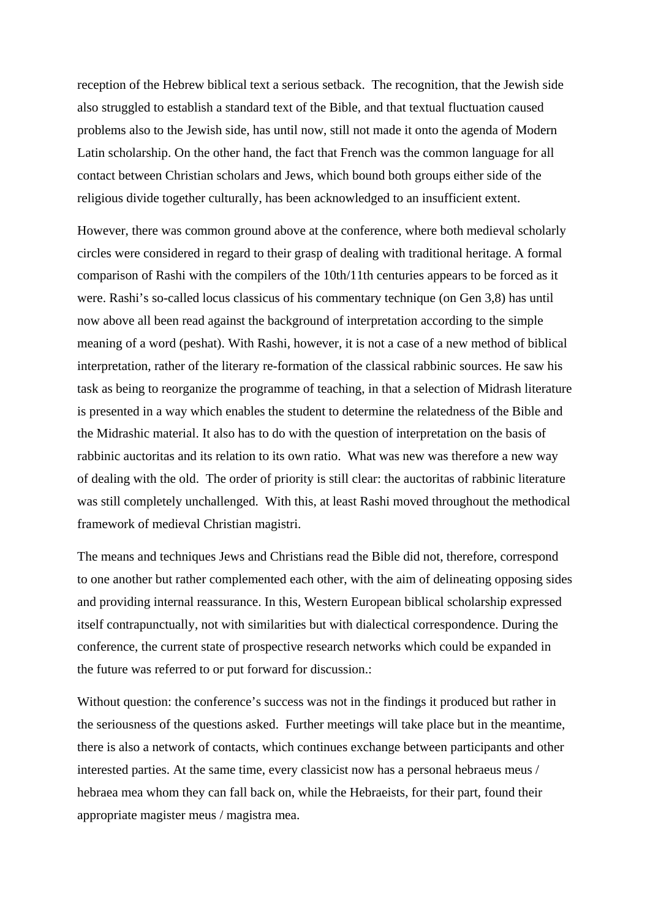reception of the Hebrew biblical text a serious setback. The recognition, that the Jewish side also struggled to establish a standard text of the Bible, and that textual fluctuation caused problems also to the Jewish side, has until now, still not made it onto the agenda of Modern Latin scholarship. On the other hand, the fact that French was the common language for all contact between Christian scholars and Jews, which bound both groups either side of the religious divide together culturally, has been acknowledged to an insufficient extent.

However, there was common ground above at the conference, where both medieval scholarly circles were considered in regard to their grasp of dealing with traditional heritage. A formal comparison of Rashi with the compilers of the 10th/11th centuries appears to be forced as it were. Rashi's so-called locus classicus of his commentary technique (on Gen 3,8) has until now above all been read against the background of interpretation according to the simple meaning of a word (peshat). With Rashi, however, it is not a case of a new method of biblical interpretation, rather of the literary re-formation of the classical rabbinic sources. He saw his task as being to reorganize the programme of teaching, in that a selection of Midrash literature is presented in a way which enables the student to determine the relatedness of the Bible and the Midrashic material. It also has to do with the question of interpretation on the basis of rabbinic auctoritas and its relation to its own ratio. What was new was therefore a new way of dealing with the old. The order of priority is still clear: the auctoritas of rabbinic literature was still completely unchallenged. With this, at least Rashi moved throughout the methodical framework of medieval Christian magistri.

The means and techniques Jews and Christians read the Bible did not, therefore, correspond to one another but rather complemented each other, with the aim of delineating opposing sides and providing internal reassurance. In this, Western European biblical scholarship expressed itself contrapunctually, not with similarities but with dialectical correspondence. During the conference, the current state of prospective research networks which could be expanded in the future was referred to or put forward for discussion.:

Without question: the conference's success was not in the findings it produced but rather in the seriousness of the questions asked. Further meetings will take place but in the meantime, there is also a network of contacts, which continues exchange between participants and other interested parties. At the same time, every classicist now has a personal hebraeus meus / hebraea mea whom they can fall back on, while the Hebraeists, for their part, found their appropriate magister meus / magistra mea.